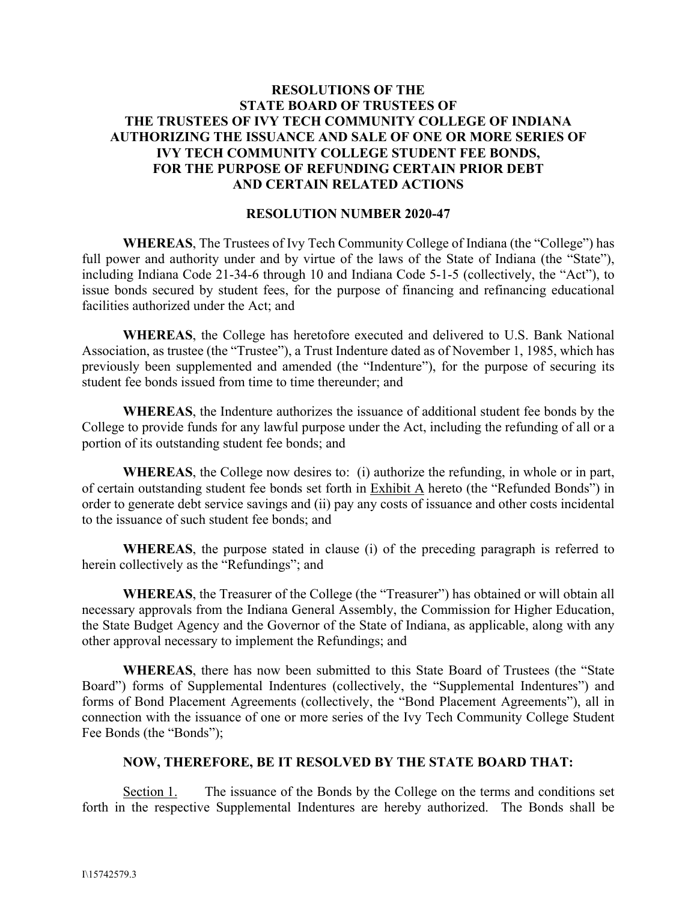### **RESOLUTIONS OF THE STATE BOARD OF TRUSTEES OF THE TRUSTEES OF IVY TECH COMMUNITY COLLEGE OF INDIANA AUTHORIZING THE ISSUANCE AND SALE OF ONE OR MORE SERIES OF IVY TECH COMMUNITY COLLEGE STUDENT FEE BONDS, FOR THE PURPOSE OF REFUNDING CERTAIN PRIOR DEBT AND CERTAIN RELATED ACTIONS**

#### **RESOLUTION NUMBER 2020-47**

**WHEREAS**, The Trustees of Ivy Tech Community College of Indiana (the "College") has full power and authority under and by virtue of the laws of the State of Indiana (the "State"), including Indiana Code 21-34-6 through 10 and Indiana Code 5-1-5 (collectively, the "Act"), to issue bonds secured by student fees, for the purpose of financing and refinancing educational facilities authorized under the Act; and

**WHEREAS**, the College has heretofore executed and delivered to U.S. Bank National Association, as trustee (the "Trustee"), a Trust Indenture dated as of November 1, 1985, which has previously been supplemented and amended (the "Indenture"), for the purpose of securing its student fee bonds issued from time to time thereunder; and

**WHEREAS**, the Indenture authorizes the issuance of additional student fee bonds by the College to provide funds for any lawful purpose under the Act, including the refunding of all or a portion of its outstanding student fee bonds; and

**WHEREAS**, the College now desires to: (i) authorize the refunding, in whole or in part, of certain outstanding student fee bonds set forth in Exhibit A hereto (the "Refunded Bonds") in order to generate debt service savings and (ii) pay any costs of issuance and other costs incidental to the issuance of such student fee bonds; and

**WHEREAS**, the purpose stated in clause (i) of the preceding paragraph is referred to herein collectively as the "Refundings"; and

**WHEREAS**, the Treasurer of the College (the "Treasurer") has obtained or will obtain all necessary approvals from the Indiana General Assembly, the Commission for Higher Education, the State Budget Agency and the Governor of the State of Indiana, as applicable, along with any other approval necessary to implement the Refundings; and

**WHEREAS**, there has now been submitted to this State Board of Trustees (the "State Board") forms of Supplemental Indentures (collectively, the "Supplemental Indentures") and forms of Bond Placement Agreements (collectively, the "Bond Placement Agreements"), all in connection with the issuance of one or more series of the Ivy Tech Community College Student Fee Bonds (the "Bonds");

### **NOW, THEREFORE, BE IT RESOLVED BY THE STATE BOARD THAT:**

Section 1. The issuance of the Bonds by the College on the terms and conditions set forth in the respective Supplemental Indentures are hereby authorized. The Bonds shall be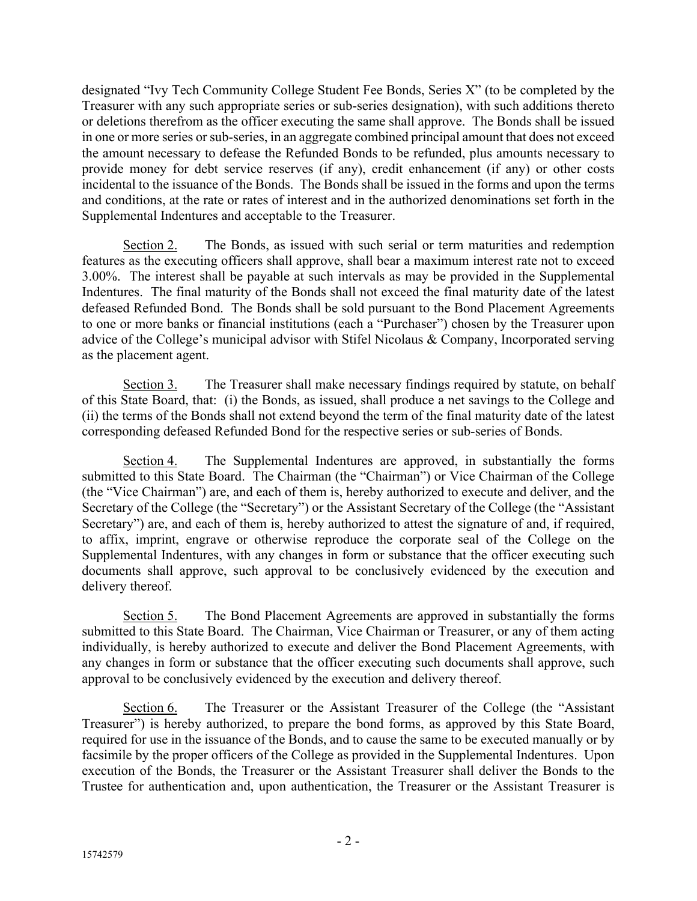designated "Ivy Tech Community College Student Fee Bonds, Series X" (to be completed by the Treasurer with any such appropriate series or sub-series designation), with such additions thereto or deletions therefrom as the officer executing the same shall approve. The Bonds shall be issued in one or more series orsub-series, in an aggregate combined principal amount that does not exceed the amount necessary to defease the Refunded Bonds to be refunded, plus amounts necessary to provide money for debt service reserves (if any), credit enhancement (if any) or other costs incidental to the issuance of the Bonds. The Bonds shall be issued in the forms and upon the terms and conditions, at the rate or rates of interest and in the authorized denominations set forth in the Supplemental Indentures and acceptable to the Treasurer.

Section 2. The Bonds, as issued with such serial or term maturities and redemption features as the executing officers shall approve, shall bear a maximum interest rate not to exceed 3.00%. The interest shall be payable at such intervals as may be provided in the Supplemental Indentures. The final maturity of the Bonds shall not exceed the final maturity date of the latest defeased Refunded Bond. The Bonds shall be sold pursuant to the Bond Placement Agreements to one or more banks or financial institutions (each a "Purchaser") chosen by the Treasurer upon advice of the College's municipal advisor with Stifel Nicolaus & Company, Incorporated serving as the placement agent.

Section 3. The Treasurer shall make necessary findings required by statute, on behalf of this State Board, that: (i) the Bonds, as issued, shall produce a net savings to the College and (ii) the terms of the Bonds shall not extend beyond the term of the final maturity date of the latest corresponding defeased Refunded Bond for the respective series or sub-series of Bonds.

Section 4. The Supplemental Indentures are approved, in substantially the forms submitted to this State Board. The Chairman (the "Chairman") or Vice Chairman of the College (the "Vice Chairman") are, and each of them is, hereby authorized to execute and deliver, and the Secretary of the College (the "Secretary") or the Assistant Secretary of the College (the "Assistant Secretary") are, and each of them is, hereby authorized to attest the signature of and, if required, to affix, imprint, engrave or otherwise reproduce the corporate seal of the College on the Supplemental Indentures, with any changes in form or substance that the officer executing such documents shall approve, such approval to be conclusively evidenced by the execution and delivery thereof.

Section 5. The Bond Placement Agreements are approved in substantially the forms submitted to this State Board. The Chairman, Vice Chairman or Treasurer, or any of them acting individually, is hereby authorized to execute and deliver the Bond Placement Agreements, with any changes in form or substance that the officer executing such documents shall approve, such approval to be conclusively evidenced by the execution and delivery thereof.

Section 6. The Treasurer or the Assistant Treasurer of the College (the "Assistant Treasurer") is hereby authorized, to prepare the bond forms, as approved by this State Board, required for use in the issuance of the Bonds, and to cause the same to be executed manually or by facsimile by the proper officers of the College as provided in the Supplemental Indentures. Upon execution of the Bonds, the Treasurer or the Assistant Treasurer shall deliver the Bonds to the Trustee for authentication and, upon authentication, the Treasurer or the Assistant Treasurer is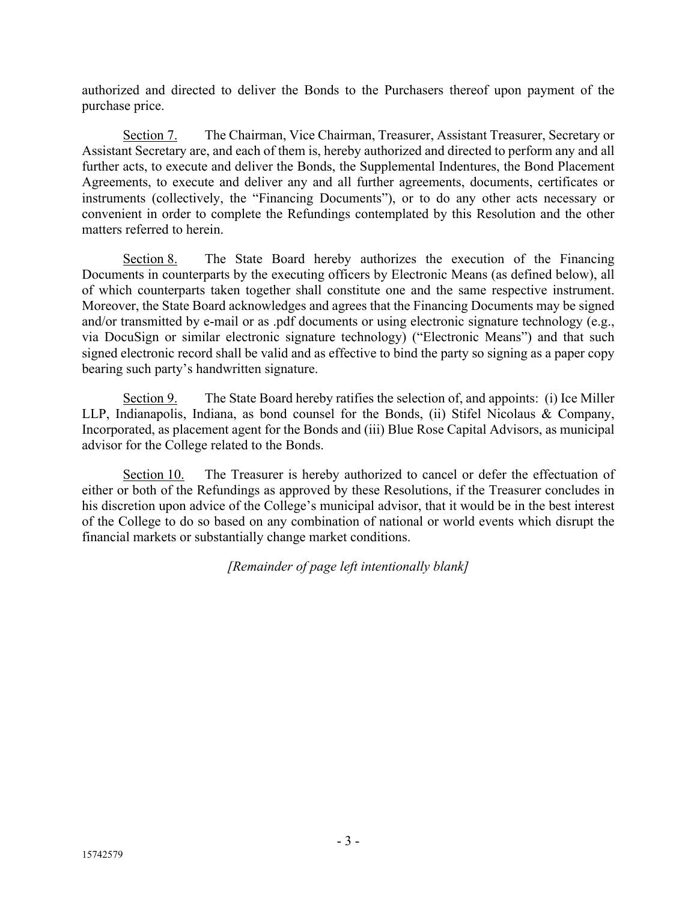authorized and directed to deliver the Bonds to the Purchasers thereof upon payment of the purchase price.

Section 7. The Chairman, Vice Chairman, Treasurer, Assistant Treasurer, Secretary or Assistant Secretary are, and each of them is, hereby authorized and directed to perform any and all further acts, to execute and deliver the Bonds, the Supplemental Indentures, the Bond Placement Agreements, to execute and deliver any and all further agreements, documents, certificates or instruments (collectively, the "Financing Documents"), or to do any other acts necessary or convenient in order to complete the Refundings contemplated by this Resolution and the other matters referred to herein.

Section 8. The State Board hereby authorizes the execution of the Financing Documents in counterparts by the executing officers by Electronic Means (as defined below), all of which counterparts taken together shall constitute one and the same respective instrument. Moreover, the State Board acknowledges and agrees that the Financing Documents may be signed and/or transmitted by e-mail or as .pdf documents or using electronic signature technology (e.g., via DocuSign or similar electronic signature technology) ("Electronic Means") and that such signed electronic record shall be valid and as effective to bind the party so signing as a paper copy bearing such party's handwritten signature.

Section 9. The State Board hereby ratifies the selection of, and appoints: (i) Ice Miller LLP, Indianapolis, Indiana, as bond counsel for the Bonds, (ii) Stifel Nicolaus & Company, Incorporated, as placement agent for the Bonds and (iii) Blue Rose Capital Advisors, as municipal advisor for the College related to the Bonds.

Section 10. The Treasurer is hereby authorized to cancel or defer the effectuation of either or both of the Refundings as approved by these Resolutions, if the Treasurer concludes in his discretion upon advice of the College's municipal advisor, that it would be in the best interest of the College to do so based on any combination of national or world events which disrupt the financial markets or substantially change market conditions.

*[Remainder of page left intentionally blank]*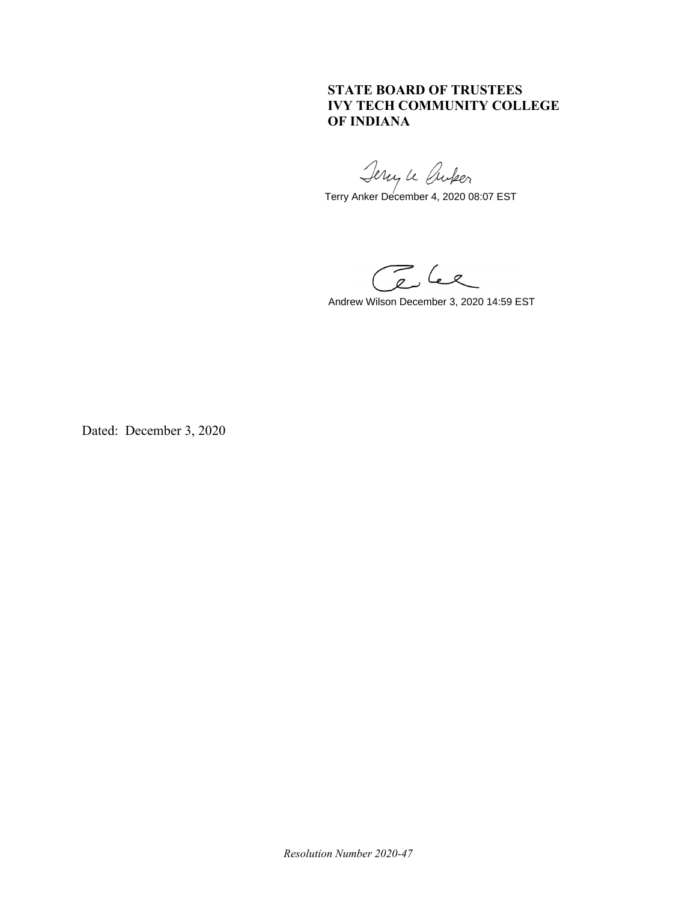# **STATE BOARD OF TRUSTEES IVY TECH COMMUNITY COLLEGE OF INDIANA**

Jerry Le Curper<br>Terry Anker December 4, 2020 08:07 EST

Ce Le

Andrew Wilson December 3, 2020 14:59 EST

Dated: December 3, 2020